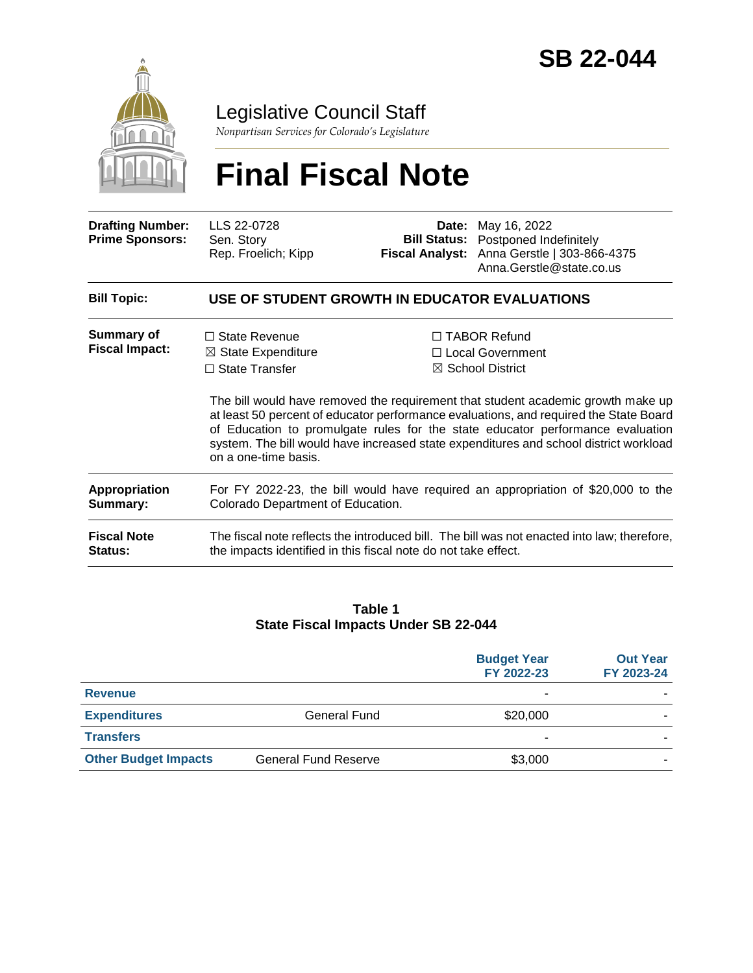

### Legislative Council Staff

*Nonpartisan Services for Colorado's Legislature*

# **Final Fiscal Note**

| <b>Drafting Number:</b><br><b>Prime Sponsors:</b> | LLS 22-0728<br>Sen. Story<br>Rep. Froelich; Kipp                                                                                                              |  | <b>Date:</b> May 16, 2022<br><b>Bill Status:</b> Postponed Indefinitely<br>Fiscal Analyst: Anna Gerstle   303-866-4375<br>Anna.Gerstle@state.co.us                                                                                                                                                                                                                                                                               |  |
|---------------------------------------------------|---------------------------------------------------------------------------------------------------------------------------------------------------------------|--|----------------------------------------------------------------------------------------------------------------------------------------------------------------------------------------------------------------------------------------------------------------------------------------------------------------------------------------------------------------------------------------------------------------------------------|--|
| <b>Bill Topic:</b>                                | USE OF STUDENT GROWTH IN EDUCATOR EVALUATIONS                                                                                                                 |  |                                                                                                                                                                                                                                                                                                                                                                                                                                  |  |
| Summary of<br><b>Fiscal Impact:</b>               | $\Box$ State Revenue<br>$\boxtimes$ State Expenditure<br>$\Box$ State Transfer<br>on a one-time basis.                                                        |  | $\Box$ TABOR Refund<br>□ Local Government<br>$\boxtimes$ School District<br>The bill would have removed the requirement that student academic growth make up<br>at least 50 percent of educator performance evaluations, and required the State Board<br>of Education to promulgate rules for the state educator performance evaluation<br>system. The bill would have increased state expenditures and school district workload |  |
| <b>Appropriation</b><br>Summary:                  | For FY 2022-23, the bill would have required an appropriation of \$20,000 to the<br>Colorado Department of Education.                                         |  |                                                                                                                                                                                                                                                                                                                                                                                                                                  |  |
| <b>Fiscal Note</b><br><b>Status:</b>              | The fiscal note reflects the introduced bill. The bill was not enacted into law; therefore,<br>the impacts identified in this fiscal note do not take effect. |  |                                                                                                                                                                                                                                                                                                                                                                                                                                  |  |

#### **Table 1 State Fiscal Impacts Under SB 22-044**

|                             |                             | <b>Budget Year</b><br>FY 2022-23 | <b>Out Year</b><br>FY 2023-24 |
|-----------------------------|-----------------------------|----------------------------------|-------------------------------|
| <b>Revenue</b>              |                             |                                  |                               |
| <b>Expenditures</b>         | General Fund                | \$20,000                         |                               |
| <b>Transfers</b>            |                             |                                  |                               |
| <b>Other Budget Impacts</b> | <b>General Fund Reserve</b> | \$3,000                          |                               |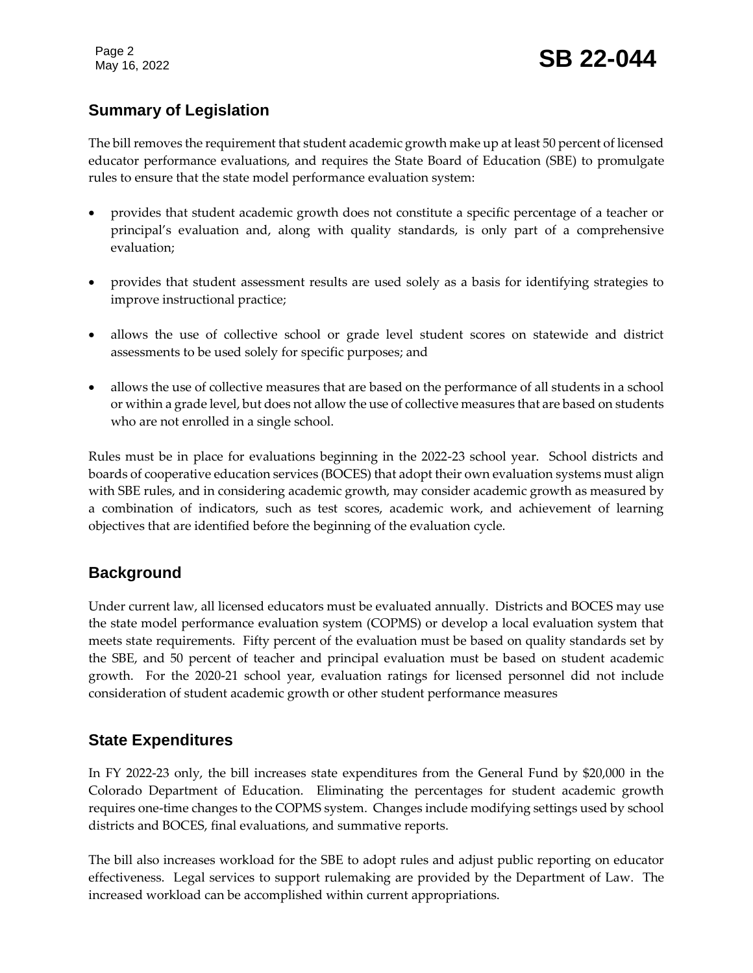Page 2

#### **Summary of Legislation**

The bill removes the requirement that student academic growth make up at least 50 percent of licensed educator performance evaluations, and requires the State Board of Education (SBE) to promulgate rules to ensure that the state model performance evaluation system:

- provides that student academic growth does not constitute a specific percentage of a teacher or principal's evaluation and, along with quality standards, is only part of a comprehensive evaluation;
- provides that student assessment results are used solely as a basis for identifying strategies to improve instructional practice;
- allows the use of collective school or grade level student scores on statewide and district assessments to be used solely for specific purposes; and
- allows the use of collective measures that are based on the performance of all students in a school or within a grade level, but does not allow the use of collective measures that are based on students who are not enrolled in a single school.

Rules must be in place for evaluations beginning in the 2022-23 school year. School districts and boards of cooperative education services (BOCES) that adopt their own evaluation systems must align with SBE rules, and in considering academic growth, may consider academic growth as measured by a combination of indicators, such as test scores, academic work, and achievement of learning objectives that are identified before the beginning of the evaluation cycle.

#### **Background**

Under current law, all licensed educators must be evaluated annually. Districts and BOCES may use the state model performance evaluation system (COPMS) or develop a local evaluation system that meets state requirements. Fifty percent of the evaluation must be based on quality standards set by the SBE, and 50 percent of teacher and principal evaluation must be based on student academic growth. For the 2020-21 school year, evaluation ratings for licensed personnel did not include consideration of student academic growth or other student performance measures

#### **State Expenditures**

In FY 2022-23 only, the bill increases state expenditures from the General Fund by \$20,000 in the Colorado Department of Education. Eliminating the percentages for student academic growth requires one-time changes to the COPMS system. Changes include modifying settings used by school districts and BOCES, final evaluations, and summative reports.

The bill also increases workload for the SBE to adopt rules and adjust public reporting on educator effectiveness. Legal services to support rulemaking are provided by the Department of Law. The increased workload can be accomplished within current appropriations.